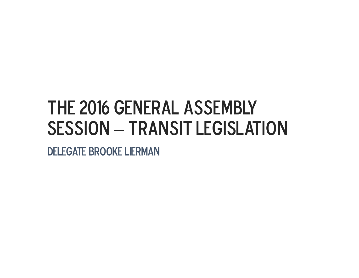### The 2016 General Assembly **SESSION**  $-$  TRANSIT LEGISLATION

DELEGATE BROOKE LIERMAN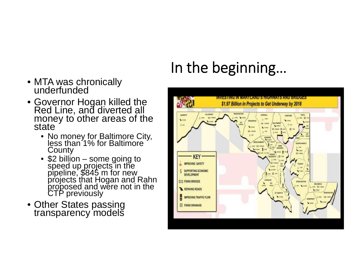## In the beginning…

- MTA was chronically<br>underfunded
- Governor Hogan killed the<br>Red Line, and diverted all<br>money to other areas of the<br>state
	- No money for Baltimore City, less than 1% for Baltimore **County**
	- \$2 billion some going to speed up projects in the pipeline, \$845 m for new projects that Hogan and Rahn proposed and were not in the CTP previously
- Other States passing<br>transparency models

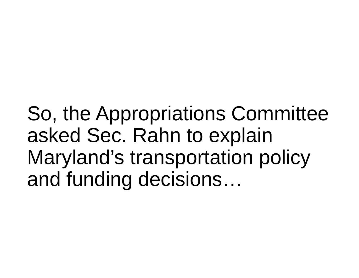So, the Appropriations Committee asked Sec. Rahn to explain Maryland's transportation policy and funding decisions…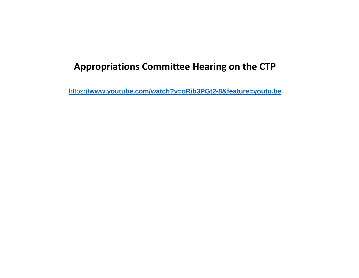### **Appropriations Committee Hearing on the CTP**

https**://www.youtube.com/watch?v=oRib3PGt2-8&feature=youtu.be**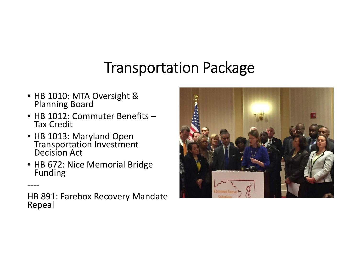### Transportation Package

- HB 1010: MTA Oversight & Planning Board
- HB 1012: Commuter Benefits Tax Credit
- HB 1013: Maryland Open Transportation Investment Decision Act

‐‐‐‐

• HB 672: Nice Memorial Bridge Funding

HB 891: Farebox Recovery Mandate<br>Repeal

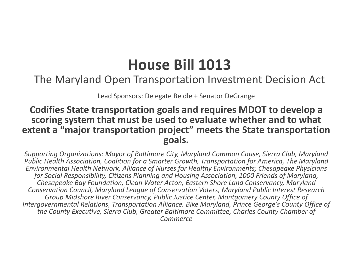### **House Bill 1013**

### The Maryland Open Transportation Investment Decision Act

Lead Sponsors: Delegate Beidle <sup>+</sup> Senator DeGrange

### **Codifies State transportation goals and requires MDOT to develop <sup>a</sup> scoring system that must be used to evaluate whether and to what extent a "major transportation project" meets the State transportation goals.**

*Supporting Organizations: Mayor of Baltimore City, Maryland Common Cause, Sierra Club, Maryland Public Health Association, Coalition for <sup>a</sup> Smarter Growth, Transportation for America, The Maryland Environmental Health Network, Alliance of Nurses for Healthy Environments; Chesapeake Physicians for Social Responsibility, Citizens Planning and Housing Association, 1000 Friends of Maryland, Chesapeake Bay Foundation, Clean Water Acton, Eastern Shore Land Conservancy, Maryland Conservation Council, Maryland League of Conservation Voters, Maryland Public Interest Research Group Midshore River Conservancy, Public Justice Center, Montgomery County Office of Intergovernmental Relations, Transportation Alliance, Bike Maryland, Prince George's County Office of the County Executive, Sierra Club, Greater Baltimore Committee, Charles County Chamber of Commerce*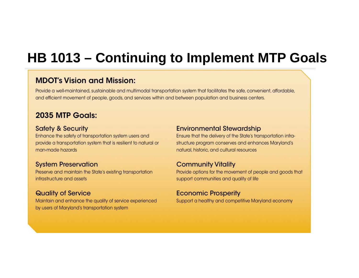### **HB 1013 – Continuing to Implement MTP Goals**

#### **MDOT's Vision and Mission:**

Provide a well-maintained, sustainable and multimodal transportation system that facilitates the safe, convenient, affordable, and efficient movement of people, goods, and services within and between population and business centers.

#### 2035 MTP Goals:

#### **Safety & Security**

Enhance the safety of transportation system users and provide a transportation system that is resilient to natural or man-made hazards

#### **System Preservation**

Preserve and maintain the State's existing transportation infrastructure and assets

#### **Quality of Service**

Maintain and enhance the quality of service experienced by users of Maryland's transportation system

#### **Environmental Stewardship**

Ensure that the delivery of the State's transportation infrastructure program conserves and enhances Maryland's natural, historic, and cultural resources

#### **Community Vitality**

Provide options for the movement of people and goods that support communities and quality of life

#### **Economic Prosperity**

Support a healthy and competitive Maryland economy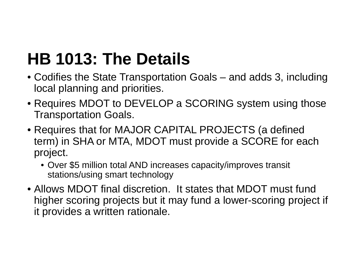## **HB 1013: The Details**

- Codifies the State Transportation Goals and adds 3, including local planning and priorities.
- Requires MDOT to DEVELOP a SCORING system using those Transportation Goals.
- Requires that for MAJOR CAPITAL PROJECTS (a defined term) in SHA or MTA, MDOT must provide a SCORE for each project.
	- Over \$5 million total AND increases capacity/improves transit stations/using smart technology
- Allows MDOT final discretion. It states that MDOT must fund higher scoring projects but it may fund a lower-scoring project if it provides a written rationale.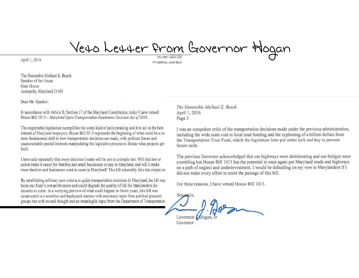# Veto Letter from Governor Hogan

April 1, 2016

The Honorable Michael E. Busch Speaker of the House State House Annapolis, Maryland 21401

Dear Mr. Speaker:

In accordance with Article II, Section 17 of the Maryland Constitution, today I have vetoed House Bill 1013 - Maryland Open Transportation Investment Decision Act of 2016.

This regrettable legislation exemplifies the worst kind of policymaking and it is not in the best interest of Maryland taxpayers. House Bill 1013 represents the beginning of what could be a lor term fundamental shift in how transportation decisions are made, with political forces and unaccountable special interests manipulating the legislative process to dictate what projects get built.

I have said repeatedly that every decision I make will be put to a simple test: Will this law or action make it easier for families and small businesses to stay in Maryland, and will it make more families and businesses want to come to Maryland? This bill miserably fails the simple tes

By establishing arbitrary new criteria to guide transportation decisions in Maryland, the bill may harm our State's competitiveness and could degrade the quality of life for Marylanders for decades to come. In a worrying preview of what could happen in future years, this bill was constructed in a secretive and haphazard manner with enormous input from political pressure groups but with no real thought and no meaningful input from the Department of Transportation The Honorable Michael E. Busch April 1, 2016 Page 3

I was an outspoken critic of the transportation decisions made under the previous administration, including the wide scale cuts to local road funding and the syphoning of a billion dollars from the Transportation Trust Fund, which the legislature later put under lock and key to prevent future raids.

The previous Governor acknowledged that our highways were deteriorating and our bridges were crumbling but House Bill 1013 has the potential to once again put Maryland roads and highways on a path of neglect and underinvestment. I would be defaulting on my vow to Marylanders if I did not make every effort to resist the passage of this bill.

For these reasons, I have vetoed House Bill 1013.

Sincerely. Lawrence

Governor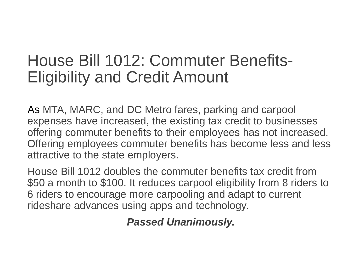### House Bill 1012: Commuter Benefits-Eligibility and Credit Amount

As MTA, MARC, and DC Metro fares, parking and carpool expenses have increased, the existing tax credit to businesses offering commuter benefits to their employees has not increased. Offering employees commuter benefits has become less and less attractive to the state employers.

House Bill 1012 doubles the commuter benefits tax credit from \$50 a month to \$100. It reduces carpool eligibility from 8 riders to 6 riders to encourage more carpooling and adapt to current rideshare advances using apps and technology.

*Passed Unanimously.*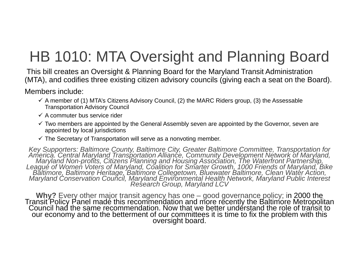## HB 1010: MTA Oversight and Planning Board

This bill creates an Oversight & Planning Board for the Maryland Transit Administration (MTA), and codifies three existing citizen advisory councils (giving each a seat on the Board).

Members include:

- $\checkmark$  A member of (1) MTA's Citizens Advisory Council, (2) the MARC Riders group, (3) the Assessable Transportation Advisory Council
- $\checkmark$  A commuter bus service rider
- $\checkmark$  Two members are appointed by the General Assembly seven are appointed by the Governor, seven are appointed by local jurisdictions
- $\checkmark$  The Secretary of Transportation will serve as a nonvoting member.

Key Supporters: Baltimore County, Baltimore City, Greater Baltimore Committee, Transportation for<br>America. Central Maryland Transportation Alliance, Community Development Network of Maryland,<br>Maryland Non-profits, Citizens

Why? Every other major transit agency has one – good governance policy; in 2000 the<br>Transit Policy Panel made this recommendation and more recently the Baltimore Metropolitan<br>Council had the same recommendation. Now that w our economy and to the betterment of our committees it is time to fix the problem with this oversight board.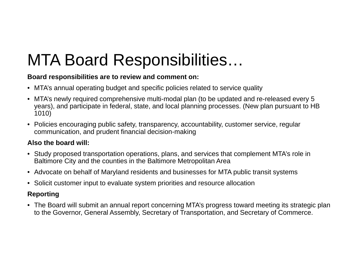## MTA Board Responsibilities…

#### **Board responsibilities are to review and comment on:**

- MTA's annual operating budget and specific policies related to service quality
- MTA's newly required comprehensive multi-modal plan (to be updated and re-released every 5 years), and participate in federal, state, and local planning processes. (New plan pursuant to HB 1010)
- Policies encouraging public safety, transparency, accountability, customer service, regular communication, and prudent financial decision-making

#### **Also the board will:**

- Study proposed transportation operations, plans, and services that complement MTA's role in Baltimore City and the counties in the Baltimore Metropolitan Area
- Advocate on behalf of Maryland residents and businesses for MTA public transit systems
- Solicit customer input to evaluate system priorities and resource allocation

#### **Reporting**

• The Board will submit an annual report concerning MTA's progress toward meeting its strategic plan to the Governor, General Assembly, Secretary of Transportation, and Secretary of Commerce.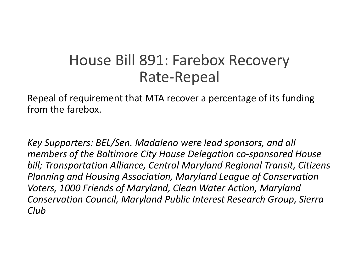### House Bill 891: Farebox Recovery Rate‐Repeal

Repeal of requirement that MTA recover <sup>a</sup> percentage of its funding from the farebox.

*Key Supporters: BEL/Sen. Madaleno were lead sponsors, and all members of the Baltimore City House Delegation co‐sponsored House bill; Transportation Alliance, Central Maryland Regional Transit, Citizens Planning and Housing Association, Maryland League of Conservation Voters, 1000 Friends of Maryland, Clean Water Action, Maryland Conservation Council, Maryland Public Interest Research Group, Sierra Club*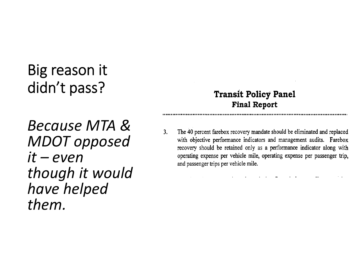### Big reason it didn't pass?

### **Transit Policy Panel Final Report**

*Because MTA &MDOT opposed it – eventhough it would have helped them.*

 $3.$ The 40 percent farebox recovery mandate should be eliminated and replaced with objective performance indicators and management audits. Farebox recovery should be retained only as a performance indicator along with operating expense per vehicle mile, operating expense per passenger trip, and passenger trips per vehicle mile.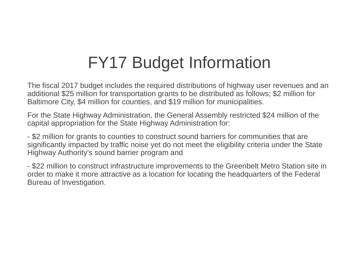## FY17 Budget Information

The fiscal 2017 budget includes the required distributions of highway user revenues and an additional \$25 million for transportation grants to be distributed as follows; \$2 million for Baltimore City, \$4 million for counties, and \$19 million for municipalities.

For the State Highway Administration, the General Assembly restricted \$24 million of the capital appropriation for the State Highway Administration for:

- \$2 million for grants to counties to construct sound barriers for communities that are significantly impacted by traffic noise yet do not meet the eligibility criteria under the State Highway Authority's sound barrier program and

- \$22 million to construct infrastructure improvements to the Greenbelt Metro Station site in order to make it more attractive as a location for locating the headquarters of the Federal Bureau of Investigation.